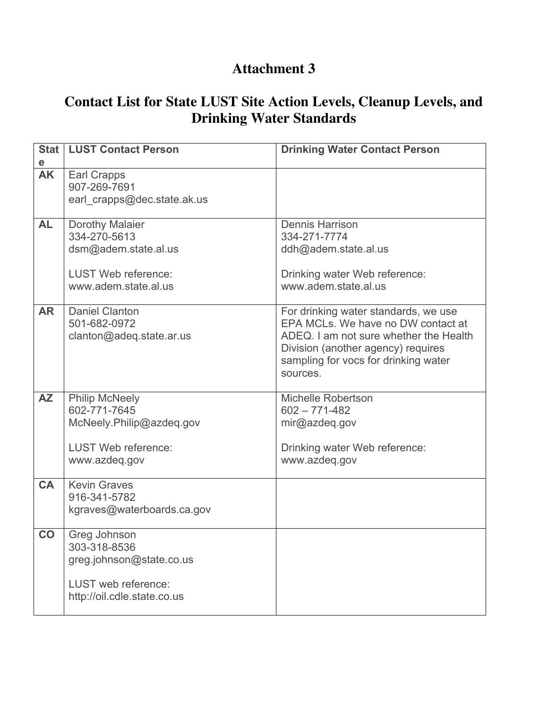## **Attachment 3**

## **Contact List for State LUST Site Action Levels, Cleanup Levels, and Drinking Water Standards**

| <b>Stat</b>    | <b>LUST Contact Person</b>                                                                                       | <b>Drinking Water Contact Person</b>                                                                                                                                                                           |
|----------------|------------------------------------------------------------------------------------------------------------------|----------------------------------------------------------------------------------------------------------------------------------------------------------------------------------------------------------------|
| е<br><b>AK</b> | <b>Earl Crapps</b><br>907-269-7691<br>earl crapps@dec.state.ak.us                                                |                                                                                                                                                                                                                |
| <b>AL</b>      | Dorothy Malaier<br>334-270-5613<br>dsm@adem.state.al.us<br><b>LUST Web reference:</b><br>www.adem.state.al.us    | <b>Dennis Harrison</b><br>334-271-7774<br>ddh@adem.state.al.us<br>Drinking water Web reference:<br>www.adem.state.al.us                                                                                        |
| <b>AR</b>      | <b>Daniel Clanton</b><br>501-682-0972<br>clanton@adeq.state.ar.us                                                | For drinking water standards, we use<br>EPA MCLs. We have no DW contact at<br>ADEQ. I am not sure whether the Health<br>Division (another agency) requires<br>sampling for vocs for drinking water<br>sources. |
| <b>AZ</b>      | <b>Philip McNeely</b><br>602-771-7645<br>McNeely.Philip@azdeq.gov<br><b>LUST Web reference:</b><br>www.azdeq.gov | <b>Michelle Robertson</b><br>$602 - 771 - 482$<br>mir@azdeq.gov<br>Drinking water Web reference:<br>www.azdeq.gov                                                                                              |
| <b>CA</b>      | <b>Kevin Graves</b><br>916-341-5782<br>kgraves@waterboards.ca.gov                                                |                                                                                                                                                                                                                |
| CO             | Greg Johnson<br>303-318-8536<br>greg.johnson@state.co.us<br>LUST web reference:<br>http://oil.cdle.state.co.us   |                                                                                                                                                                                                                |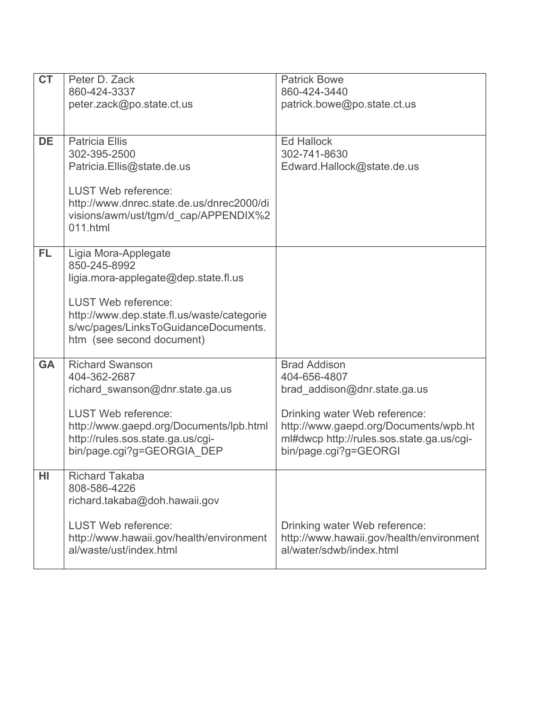| <b>CT</b> | Peter D. Zack<br>860-424-3337                                                                                                                                                                                                 | <b>Patrick Bowe</b><br>860-424-3440                                                                                                                                                                                 |
|-----------|-------------------------------------------------------------------------------------------------------------------------------------------------------------------------------------------------------------------------------|---------------------------------------------------------------------------------------------------------------------------------------------------------------------------------------------------------------------|
|           | peter.zack@po.state.ct.us                                                                                                                                                                                                     | patrick.bowe@po.state.ct.us                                                                                                                                                                                         |
| <b>DE</b> | <b>Patricia Ellis</b><br>302-395-2500<br>Patricia.Ellis@state.de.us<br><b>LUST Web reference:</b><br>http://www.dnrec.state.de.us/dnrec2000/di<br>visions/awm/ust/tgm/d cap/APPENDIX%2<br>011.html                            | <b>Ed Hallock</b><br>302-741-8630<br>Edward.Hallock@state.de.us                                                                                                                                                     |
| FL.       | Ligia Mora-Applegate<br>850-245-8992<br>ligia.mora-applegate@dep.state.fl.us<br><b>LUST Web reference:</b><br>http://www.dep.state.fl.us/waste/categorie<br>s/wc/pages/LinksToGuidanceDocuments.<br>htm (see second document) |                                                                                                                                                                                                                     |
| <b>GA</b> | <b>Richard Swanson</b><br>404-362-2687<br>richard swanson@dnr.state.ga.us<br><b>LUST Web reference:</b><br>http://www.gaepd.org/Documents/lpb.html<br>http://rules.sos.state.ga.us/cgi-<br>bin/page.cgi?g=GEORGIA_DEP         | <b>Brad Addison</b><br>404-656-4807<br>brad addison@dnr.state.ga.us<br>Drinking water Web reference:<br>http://www.gaepd.org/Documents/wpb.ht<br>ml#dwcp http://rules.sos.state.ga.us/cgi-<br>bin/page.cgi?g=GEORGI |
| HI        | <b>Richard Takaba</b><br>808-586-4226<br>richard.takaba@doh.hawaii.gov<br><b>LUST Web reference:</b><br>http://www.hawaii.gov/health/environment<br>al/waste/ust/index.html                                                   | Drinking water Web reference:<br>http://www.hawaii.gov/health/environment<br>al/water/sdwb/index.html                                                                                                               |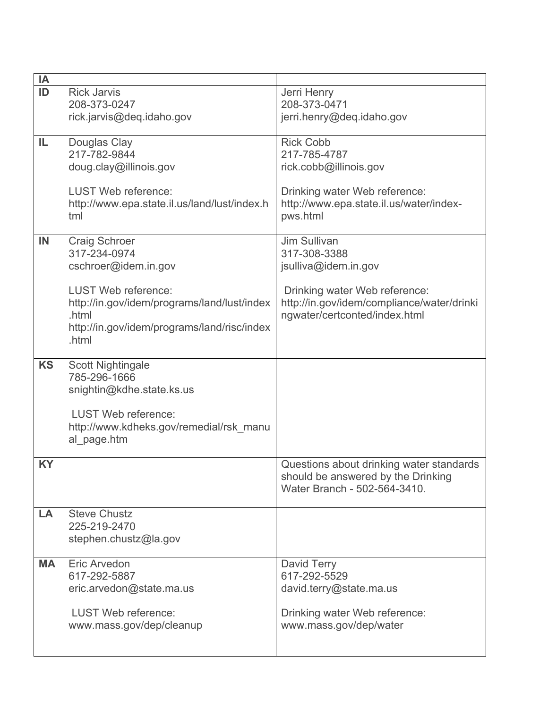| IA        |                                              |                                                                    |
|-----------|----------------------------------------------|--------------------------------------------------------------------|
| ID        | <b>Rick Jarvis</b>                           | Jerri Henry                                                        |
|           | 208-373-0247                                 | 208-373-0471                                                       |
|           | rick.jarvis@deq.idaho.gov                    | jerri.henry@deq.idaho.gov                                          |
|           |                                              |                                                                    |
| IL        | Douglas Clay                                 | <b>Rick Cobb</b>                                                   |
|           | 217-782-9844                                 | 217-785-4787                                                       |
|           | doug.clay@illinois.gov                       | rick.cobb@illinois.gov                                             |
|           |                                              |                                                                    |
|           | <b>LUST Web reference:</b>                   | Drinking water Web reference:                                      |
|           | http://www.epa.state.il.us/land/lust/index.h | http://www.epa.state.il.us/water/index-                            |
|           | tml                                          | pws.html                                                           |
|           |                                              |                                                                    |
| IN        | <b>Craig Schroer</b>                         | Jim Sullivan                                                       |
|           | 317-234-0974                                 | 317-308-3388                                                       |
|           | cschroer@idem.in.gov                         | jsulliva@idem.in.gov                                               |
|           | <b>LUST Web reference:</b>                   | Drinking water Web reference:                                      |
|           | http://in.gov/idem/programs/land/lust/index  | http://in.gov/idem/compliance/water/drinki                         |
|           | .html                                        | ngwater/certconted/index.html                                      |
|           | http://in.gov/idem/programs/land/risc/index  |                                                                    |
|           | .html                                        |                                                                    |
|           |                                              |                                                                    |
| <b>KS</b> | <b>Scott Nightingale</b>                     |                                                                    |
|           | 785-296-1666                                 |                                                                    |
|           | snightin@kdhe.state.ks.us                    |                                                                    |
|           |                                              |                                                                    |
|           | <b>LUST Web reference:</b>                   |                                                                    |
|           | http://www.kdheks.gov/remedial/rsk manu      |                                                                    |
|           | al_page.htm                                  |                                                                    |
|           |                                              |                                                                    |
| <b>KY</b> |                                              | Questions about drinking water standards                           |
|           |                                              | should be answered by the Drinking<br>Water Branch - 502-564-3410. |
|           |                                              |                                                                    |
| LA        | <b>Steve Chustz</b>                          |                                                                    |
|           | 225-219-2470                                 |                                                                    |
|           | stephen.chustz@la.gov                        |                                                                    |
|           |                                              |                                                                    |
| <b>MA</b> | <b>Eric Arvedon</b>                          | David Terry                                                        |
|           | 617-292-5887                                 | 617-292-5529                                                       |
|           | eric.arvedon@state.ma.us                     | david.terry@state.ma.us                                            |
|           |                                              |                                                                    |
|           | <b>LUST Web reference:</b>                   | Drinking water Web reference:                                      |
|           | www.mass.gov/dep/cleanup                     | www.mass.gov/dep/water                                             |
|           |                                              |                                                                    |
|           |                                              |                                                                    |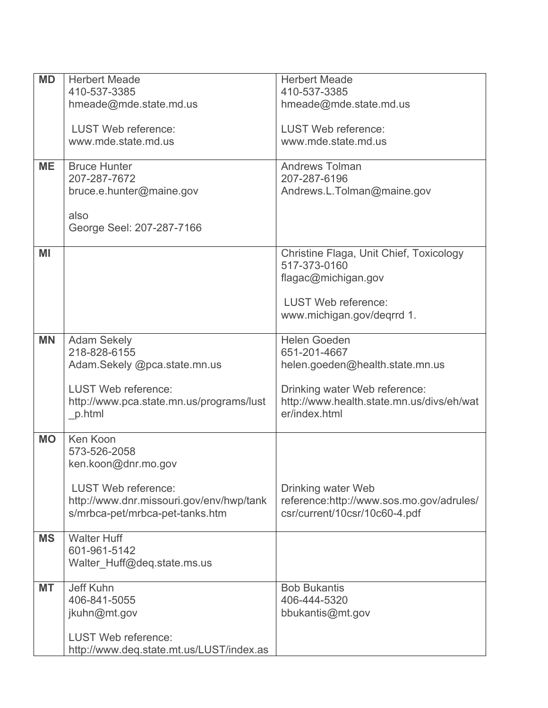| <b>MD</b> | <b>Herbert Meade</b>                     | <b>Herbert Meade</b>                      |
|-----------|------------------------------------------|-------------------------------------------|
|           | 410-537-3385                             | 410-537-3385                              |
|           |                                          |                                           |
|           | hmeade@mde.state.md.us                   | hmeade@mde.state.md.us                    |
|           | <b>LUST Web reference:</b>               | <b>LUST Web reference:</b>                |
|           | www.mde.state.md.us                      | www.mde.state.md.us                       |
|           |                                          |                                           |
| <b>ME</b> | <b>Bruce Hunter</b>                      | <b>Andrews Tolman</b>                     |
|           | 207-287-7672                             | 207-287-6196                              |
|           | bruce.e.hunter@maine.gov                 | Andrews.L.Tolman@maine.gov                |
|           |                                          |                                           |
|           | also                                     |                                           |
|           | George Seel: 207-287-7166                |                                           |
|           |                                          |                                           |
| MI        |                                          | Christine Flaga, Unit Chief, Toxicology   |
|           |                                          | 517-373-0160                              |
|           |                                          | flagac@michigan.gov                       |
|           |                                          | <b>LUST Web reference:</b>                |
|           |                                          | www.michigan.gov/deqrrd 1.                |
|           |                                          |                                           |
| <b>MN</b> | <b>Adam Sekely</b>                       | <b>Helen Goeden</b>                       |
|           | 218-828-6155                             | 651-201-4667                              |
|           | Adam.Sekely @pca.state.mn.us             | helen.goeden@health.state.mn.us           |
|           |                                          |                                           |
|           | <b>LUST Web reference:</b>               | Drinking water Web reference:             |
|           | http://www.pca.state.mn.us/programs/lust | http://www.health.state.mn.us/divs/eh/wat |
|           | p.html                                   | er/index.html                             |
|           |                                          |                                           |
| <b>MO</b> | Ken Koon                                 |                                           |
|           | 573-526-2058                             |                                           |
|           | ken.koon@dnr.mo.gov                      |                                           |
|           | <b>LUST Web reference:</b>               | Drinking water Web                        |
|           | http://www.dnr.missouri.gov/env/hwp/tank | reference:http://www.sos.mo.gov/adrules/  |
|           | s/mrbca-pet/mrbca-pet-tanks.htm          | csr/current/10csr/10c60-4.pdf             |
|           |                                          |                                           |
| <b>MS</b> | <b>Walter Huff</b>                       |                                           |
|           | 601-961-5142                             |                                           |
|           | Walter Huff@deq.state.ms.us              |                                           |
|           |                                          |                                           |
| МT        | Jeff Kuhn                                | <b>Bob Bukantis</b>                       |
|           | 406-841-5055                             | 406-444-5320                              |
|           | jkuhn@mt.gov                             | bbukantis@mt.gov                          |
|           |                                          |                                           |
|           | <b>LUST Web reference:</b>               |                                           |
|           | http://www.deq.state.mt.us/LUST/index.as |                                           |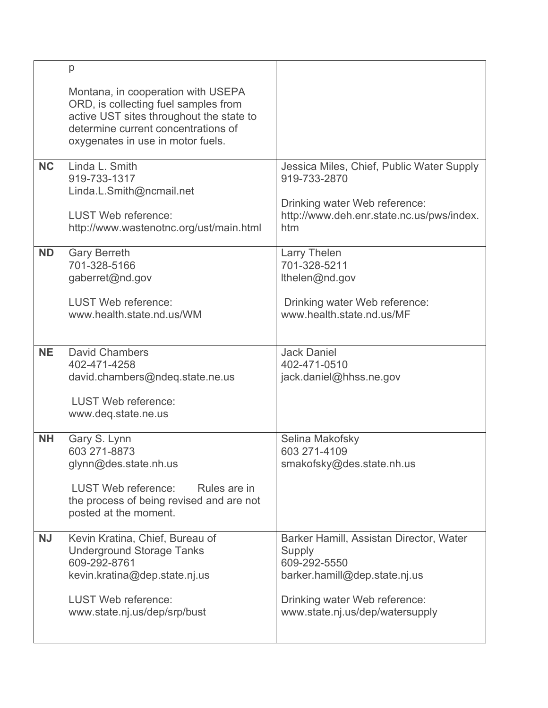|           | p                                                                                                                                                                                                  |                                                                                                                                                                        |
|-----------|----------------------------------------------------------------------------------------------------------------------------------------------------------------------------------------------------|------------------------------------------------------------------------------------------------------------------------------------------------------------------------|
|           | Montana, in cooperation with USEPA<br>ORD, is collecting fuel samples from<br>active UST sites throughout the state to<br>determine current concentrations of<br>oxygenates in use in motor fuels. |                                                                                                                                                                        |
| <b>NC</b> | Linda L. Smith<br>919-733-1317<br>Linda.L.Smith@ncmail.net<br><b>LUST Web reference:</b><br>http://www.wastenotnc.org/ust/main.html                                                                | Jessica Miles, Chief, Public Water Supply<br>919-733-2870<br>Drinking water Web reference:<br>http://www.deh.enr.state.nc.us/pws/index.<br>htm                         |
| <b>ND</b> | <b>Gary Berreth</b><br>701-328-5166<br>gaberret@nd.gov<br><b>LUST Web reference:</b><br>www.health.state.nd.us/WM                                                                                  | Larry Thelen<br>701-328-5211<br>Ithelen@nd.gov<br>Drinking water Web reference:<br>www.health.state.nd.us/MF                                                           |
| <b>NE</b> | <b>David Chambers</b><br>402-471-4258<br>david.chambers@ndeq.state.ne.us<br><b>LUST Web reference:</b><br>www.deq.state.ne.us                                                                      | <b>Jack Daniel</b><br>402-471-0510<br>jack.daniel@hhss.ne.gov                                                                                                          |
| <b>NH</b> | Gary S. Lynn<br>603 271-8873<br>glynn@des.state.nh.us<br>LUST Web reference:<br>Rules are in<br>the process of being revised and are not<br>posted at the moment.                                  | Selina Makofsky<br>603 271-4109<br>smakofsky@des.state.nh.us                                                                                                           |
| <b>NJ</b> | Kevin Kratina, Chief, Bureau of<br><b>Underground Storage Tanks</b><br>609-292-8761<br>kevin.kratina@dep.state.nj.us<br><b>LUST Web reference:</b><br>www.state.nj.us/dep/srp/bust                 | Barker Hamill, Assistan Director, Water<br>Supply<br>609-292-5550<br>barker.hamill@dep.state.nj.us<br>Drinking water Web reference:<br>www.state.nj.us/dep/watersupply |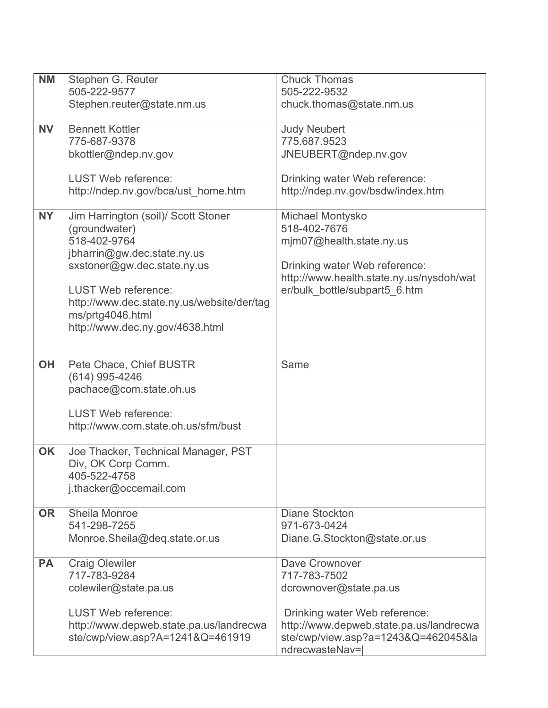| <b>NM</b> | Stephen G. Reuter                          | <b>Chuck Thomas</b>                      |
|-----------|--------------------------------------------|------------------------------------------|
|           | 505-222-9577                               | 505-222-9532                             |
|           | Stephen.reuter@state.nm.us                 | chuck.thomas@state.nm.us                 |
|           |                                            |                                          |
| <b>NV</b> | <b>Bennett Kottler</b>                     | <b>Judy Neubert</b>                      |
|           | 775-687-9378                               | 775.687.9523                             |
|           | bkottler@ndep.nv.gov                       | JNEUBERT@ndep.nv.gov                     |
|           |                                            |                                          |
|           | <b>LUST Web reference:</b>                 | Drinking water Web reference:            |
|           | http://ndep.nv.gov/bca/ust_home.htm        | http://ndep.nv.gov/bsdw/index.htm        |
|           |                                            |                                          |
| <b>NY</b> | Jim Harrington (soil)/ Scott Stoner        | Michael Montysko                         |
|           | (groundwater)                              | 518-402-7676                             |
|           | 518-402-9764                               | mjm07@health.state.ny.us                 |
|           | jbharrin@gw.dec.state.ny.us                |                                          |
|           | sxstoner@gw.dec.state.ny.us                | Drinking water Web reference:            |
|           |                                            | http://www.health.state.ny.us/nysdoh/wat |
|           | <b>LUST Web reference:</b>                 | er/bulk_bottle/subpart5_6.htm            |
|           | http://www.dec.state.ny.us/website/der/tag |                                          |
|           | ms/prtg4046.html                           |                                          |
|           | http://www.dec.ny.gov/4638.html            |                                          |
|           |                                            |                                          |
|           |                                            |                                          |
| <b>OH</b> | Pete Chace, Chief BUSTR                    | Same                                     |
|           | (614) 995-4246                             |                                          |
|           | pachace@com.state.oh.us                    |                                          |
|           |                                            |                                          |
|           | <b>LUST Web reference:</b>                 |                                          |
|           | http://www.com.state.oh.us/sfm/bust        |                                          |
|           |                                            |                                          |
| <b>OK</b> | Joe Thacker, Technical Manager, PST        |                                          |
|           | Div, OK Corp Comm.                         |                                          |
|           | 405-522-4758                               |                                          |
|           | j.thacker@occemail.com                     |                                          |
|           |                                            |                                          |
| <b>OR</b> | Sheila Monroe                              | <b>Diane Stockton</b>                    |
|           | 541-298-7255                               | 971-673-0424                             |
|           | Monroe.Sheila@deq.state.or.us              | Diane.G.Stockton@state.or.us             |
|           |                                            |                                          |
| <b>PA</b> | <b>Craig Olewiler</b>                      | Dave Crownover                           |
|           | 717-783-9284                               | 717-783-7502                             |
|           | colewiler@state.pa.us                      | dcrownover@state.pa.us                   |
|           |                                            |                                          |
|           | <b>LUST Web reference:</b>                 | Drinking water Web reference:            |
|           | http://www.depweb.state.pa.us/landrecwa    | http://www.depweb.state.pa.us/landrecwa  |
|           | ste/cwp/view.asp?A=1241&Q=461919           | ste/cwp/view.asp?a=1243&Q=462045&la      |
|           |                                            | ndrecwasteNav=                           |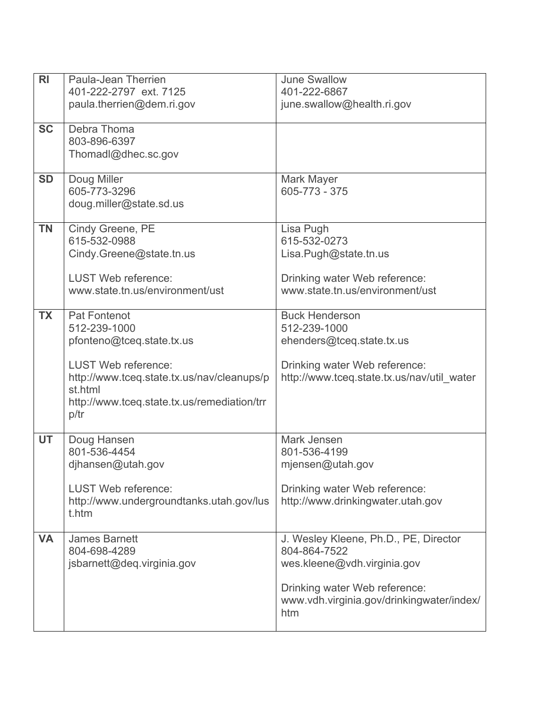| june.swallow@health.ri.gov                 |
|--------------------------------------------|
|                                            |
|                                            |
|                                            |
|                                            |
|                                            |
|                                            |
|                                            |
|                                            |
|                                            |
|                                            |
| Lisa.Pugh@state.tn.us                      |
| Drinking water Web reference:              |
| www.state.tn.us/environment/ust            |
|                                            |
|                                            |
|                                            |
| ehenders@tceq.state.tx.us                  |
| Drinking water Web reference:              |
| http://www.tceq.state.tx.us/nav/util water |
|                                            |
|                                            |
|                                            |
|                                            |
|                                            |
|                                            |
|                                            |
| mjensen@utah.gov                           |
|                                            |
| Drinking water Web reference:              |
| http://www.drinkingwater.utah.gov          |
|                                            |
| J. Wesley Kleene, Ph.D., PE, Director      |
|                                            |
| wes.kleene@vdh.virginia.gov                |
|                                            |
| Drinking water Web reference:              |
| www.vdh.virginia.gov/drinkingwater/index/  |
|                                            |